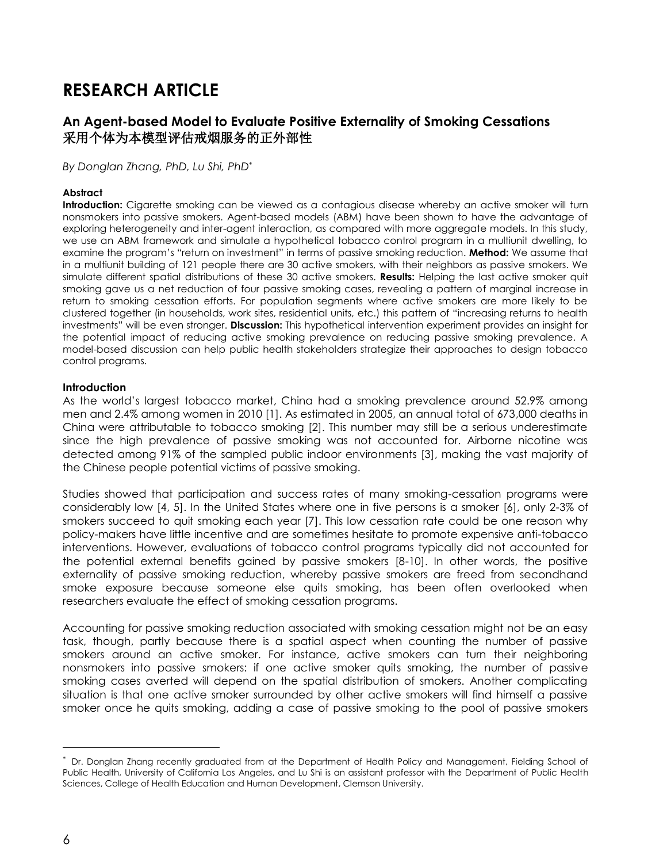# **RESEARCH ARTICLE**

# **An Agent-based Model to Evaluate Positive Externality of Smoking Cessations** 采用个体为本模型评估戒烟服务的正外部性

*By Donglan Zhang, PhD, Lu Shi, PhD*\*

#### **Abstract**

**Introduction:** Cigarette smoking can be viewed as a contagious disease whereby an active smoker will turn nonsmokers into passive smokers. Agent-based models (ABM) have been shown to have the advantage of exploring heterogeneity and inter-agent interaction, as compared with more aggregate models. In this study, we use an ABM framework and simulate a hypothetical tobacco control program in a multiunit dwelling, to examine the program's "return on investment" in terms of passive smoking reduction. **Method:** We assume that in a multiunit building of 121 people there are 30 active smokers, with their neighbors as passive smokers. We simulate different spatial distributions of these 30 active smokers. **Results:** Helping the last active smoker quit smoking gave us a net reduction of four passive smoking cases, revealing a pattern of marginal increase in return to smoking cessation efforts. For population segments where active smokers are more likely to be clustered together (in households, work sites, residential units, etc.) this pattern of "increasing returns to health investments" will be even stronger. **Discussion:** This hypothetical intervention experiment provides an insight for the potential impact of reducing active smoking prevalence on reducing passive smoking prevalence. A model-based discussion can help public health stakeholders strategize their approaches to design tobacco control programs.

#### **Introduction**

As the world's largest tobacco market, China had a smoking prevalence around 52.9% among men and 2.4% among women in 2010 [1]. As estimated in 2005, an annual total of 673,000 deaths in China were attributable to tobacco smoking [2]. This number may still be a serious underestimate since the high prevalence of passive smoking was not accounted for. Airborne nicotine was detected among 91% of the sampled public indoor environments [3], making the vast majority of the Chinese people potential victims of passive smoking.

Studies showed that participation and success rates of many smoking-cessation programs were considerably low [4, 5]. In the United States where one in five persons is a smoker [6], only 2-3% of smokers succeed to quit smoking each year [7]. This low cessation rate could be one reason why policy-makers have little incentive and are sometimes hesitate to promote expensive anti-tobacco interventions. However, evaluations of tobacco control programs typically did not accounted for the potential external benefits gained by passive smokers [8-10]. In other words, the positive externality of passive smoking reduction, whereby passive smokers are freed from secondhand smoke exposure because someone else quits smoking, has been often overlooked when researchers evaluate the effect of smoking cessation programs.

Accounting for passive smoking reduction associated with smoking cessation might not be an easy task, though, partly because there is a spatial aspect when counting the number of passive smokers around an active smoker. For instance, active smokers can turn their neighboring nonsmokers into passive smokers: if one active smoker quits smoking, the number of passive smoking cases averted will depend on the spatial distribution of smokers. Another complicating situation is that one active smoker surrounded by other active smokers will find himself a passive smoker once he quits smoking, adding a case of passive smoking to the pool of passive smokers

*<sup>\*</sup>* Dr. Donglan Zhang recently graduated from at the Department of Health Policy and Management, Fielding School of Public Health, University of California Los Angeles, and Lu Shi is an assistant professor with the Department of Public Health Sciences, College of Health Education and Human Development, Clemson University.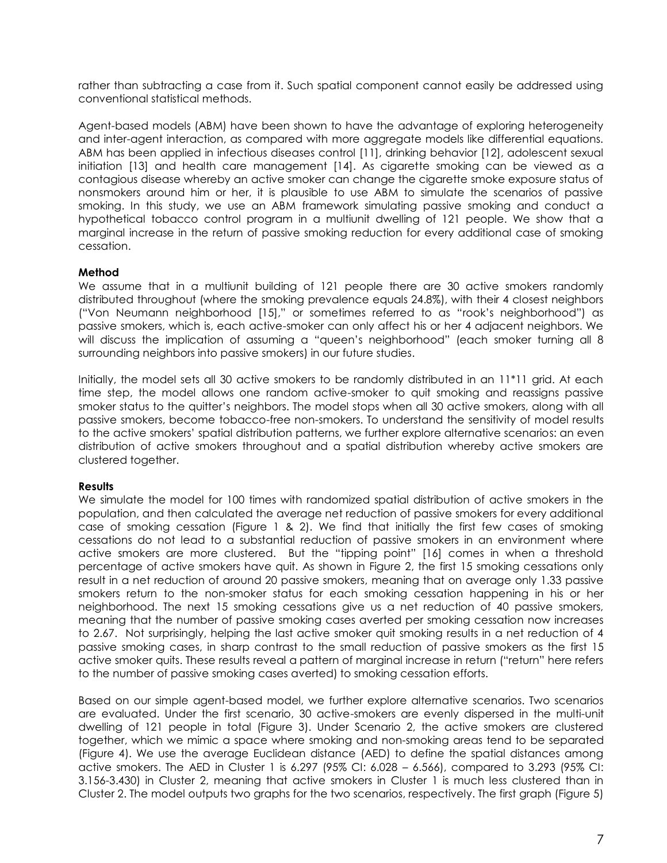rather than subtracting a case from it. Such spatial component cannot easily be addressed using conventional statistical methods.

Agent-based models (ABM) have been shown to have the advantage of exploring heterogeneity and inter-agent interaction, as compared with more aggregate models like differential equations. ABM has been applied in infectious diseases control [11], drinking behavior [12], adolescent sexual initiation [13] and health care management [14]. As cigarette smoking can be viewed as a contagious disease whereby an active smoker can change the cigarette smoke exposure status of nonsmokers around him or her, it is plausible to use ABM to simulate the scenarios of passive smoking. In this study, we use an ABM framework simulating passive smoking and conduct a hypothetical tobacco control program in a multiunit dwelling of 121 people. We show that a marginal increase in the return of passive smoking reduction for every additional case of smoking cessation.

## **Method**

We assume that in a multiunit building of 121 people there are 30 active smokers randomly distributed throughout (where the smoking prevalence equals 24.8%), with their 4 closest neighbors ("Von Neumann neighborhood [15]," or sometimes referred to as "rook's neighborhood") as passive smokers, which is, each active-smoker can only affect his or her 4 adjacent neighbors. We will discuss the implication of assuming a "queen's neighborhood" (each smoker turning all 8 surrounding neighbors into passive smokers) in our future studies.

Initially, the model sets all 30 active smokers to be randomly distributed in an 11\*11 grid. At each time step, the model allows one random active-smoker to quit smoking and reassigns passive smoker status to the quitter's neighbors. The model stops when all 30 active smokers, along with all passive smokers, become tobacco-free non-smokers. To understand the sensitivity of model results to the active smokers' spatial distribution patterns, we further explore alternative scenarios: an even distribution of active smokers throughout and a spatial distribution whereby active smokers are clustered together.

#### **Results**

We simulate the model for 100 times with randomized spatial distribution of active smokers in the population, and then calculated the average net reduction of passive smokers for every additional case of smoking cessation (Figure 1 & 2). We find that initially the first few cases of smoking cessations do not lead to a substantial reduction of passive smokers in an environment where active smokers are more clustered. But the "tipping point" [16] comes in when a threshold percentage of active smokers have quit. As shown in Figure 2, the first 15 smoking cessations only result in a net reduction of around 20 passive smokers, meaning that on average only 1.33 passive smokers return to the non-smoker status for each smoking cessation happening in his or her neighborhood. The next 15 smoking cessations give us a net reduction of 40 passive smokers, meaning that the number of passive smoking cases averted per smoking cessation now increases to 2.67. Not surprisingly, helping the last active smoker quit smoking results in a net reduction of 4 passive smoking cases, in sharp contrast to the small reduction of passive smokers as the first 15 active smoker quits. These results reveal a pattern of marginal increase in return ("return" here refers to the number of passive smoking cases averted) to smoking cessation efforts.

Based on our simple agent-based model, we further explore alternative scenarios. Two scenarios are evaluated. Under the first scenario, 30 active-smokers are evenly dispersed in the multi-unit dwelling of 121 people in total (Figure 3). Under Scenario 2, the active smokers are clustered together, which we mimic a space where smoking and non-smoking areas tend to be separated (Figure 4). We use the average Euclidean distance (AED) to define the spatial distances among active smokers. The AED in Cluster 1 is 6.297 (95% CI: 6.028 – 6.566), compared to 3.293 (95% CI: 3.156-3.430) in Cluster 2, meaning that active smokers in Cluster 1 is much less clustered than in Cluster 2. The model outputs two graphs for the two scenarios, respectively. The first graph (Figure 5)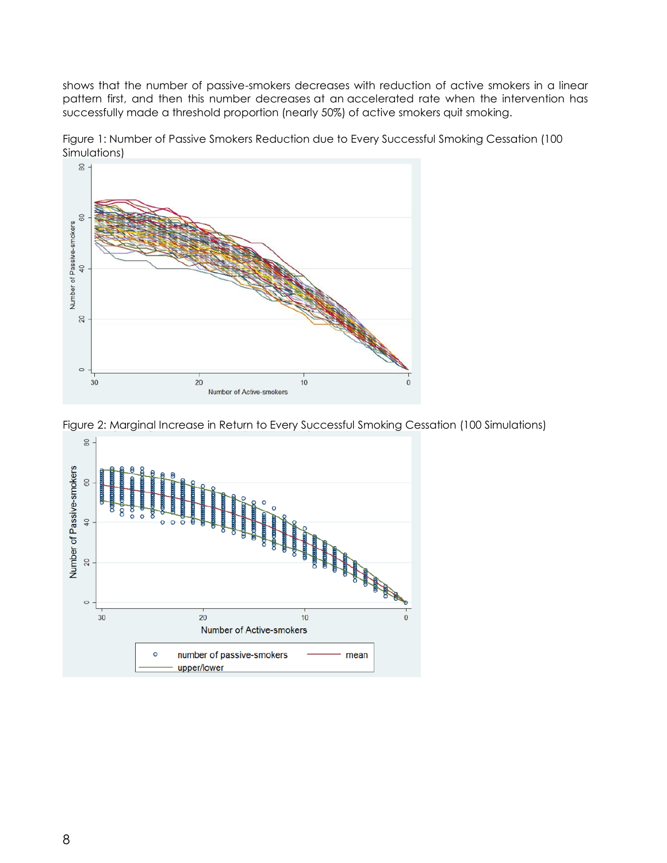shows that the number of passive-smokers decreases with reduction of active smokers in a linear pattern first, and then this number decreases at an accelerated rate when the intervention has successfully made a threshold proportion (nearly 50%) of active smokers quit smoking.







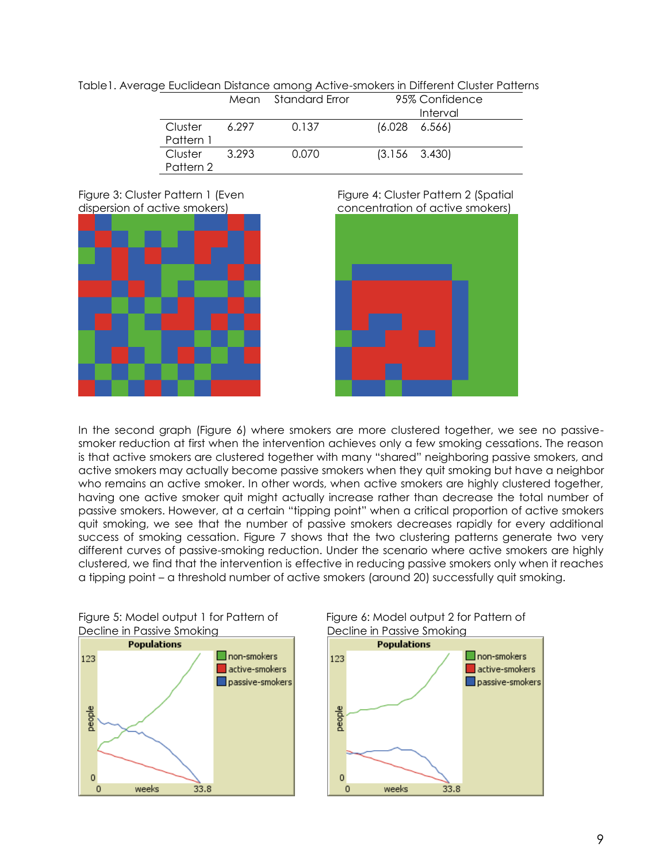| הסוקט בטכווטטטר ה שונה סיווטיוק זיכוויט שהוטגטו וה בוווטוטרוו טוסוטר ו שהטו |                      |       |                     |                       |                |  |
|-----------------------------------------------------------------------------|----------------------|-------|---------------------|-----------------------|----------------|--|
|                                                                             |                      |       | Mean Standard Error |                       | 95% Confidence |  |
|                                                                             |                      |       |                     |                       | Interval       |  |
|                                                                             | Cluster<br>Pattern 1 | 6.297 | 0.137               | $(6.028 \quad 6.566)$ |                |  |
|                                                                             | Cluster<br>Pattern 2 | 3.293 | 0.070               | $(3.156 \quad 3.430)$ |                |  |









In the second graph (Figure 6) where smokers are more clustered together, we see no passivesmoker reduction at first when the intervention achieves only a few smoking cessations. The reason is that active smokers are clustered together with many "shared" neighboring passive smokers, and active smokers may actually become passive smokers when they quit smoking but have a neighbor who remains an active smoker. In other words, when active smokers are highly clustered together, having one active smoker quit might actually increase rather than decrease the total number of passive smokers. However, at a certain "tipping point" when a critical proportion of active smokers quit smoking, we see that the number of passive smokers decreases rapidly for every additional success of smoking cessation. Figure 7 shows that the two clustering patterns generate two very different curves of passive-smoking reduction. Under the scenario where active smokers are highly clustered, we find that the intervention is effective in reducing passive smokers only when it reaches a tipping point – a threshold number of active smokers (around 20) successfully quit smoking.

Figure 5: Model output 1 for Pattern of Figure 6: Model output 2 for Pattern of Decline in Passive Smoking **Decline in Passive Smoking** 



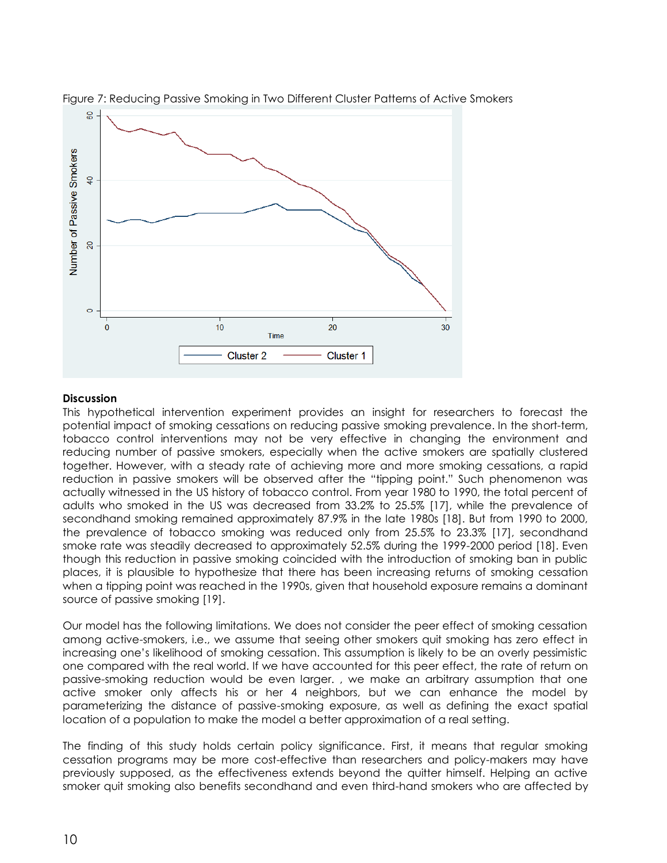

Figure 7: Reducing Passive Smoking in Two Different Cluster Patterns of Active Smokers

## **Discussion**

This hypothetical intervention experiment provides an insight for researchers to forecast the potential impact of smoking cessations on reducing passive smoking prevalence. In the short-term, tobacco control interventions may not be very effective in changing the environment and reducing number of passive smokers, especially when the active smokers are spatially clustered together. However, with a steady rate of achieving more and more smoking cessations, a rapid reduction in passive smokers will be observed after the "tipping point." Such phenomenon was actually witnessed in the US history of tobacco control. From year 1980 to 1990, the total percent of adults who smoked in the US was decreased from 33.2% to 25.5% [17], while the prevalence of secondhand smoking remained approximately 87.9% in the late 1980s [18]. But from 1990 to 2000, the prevalence of tobacco smoking was reduced only from 25.5% to 23.3% [17], secondhand smoke rate was steadily decreased to approximately 52.5% during the 1999-2000 period [18]. Even though this reduction in passive smoking coincided with the introduction of smoking ban in public places, it is plausible to hypothesize that there has been increasing returns of smoking cessation when a tipping point was reached in the 1990s, given that household exposure remains a dominant source of passive smoking [19].

Our model has the following limitations. We does not consider the peer effect of smoking cessation among active-smokers, i.e., we assume that seeing other smokers quit smoking has zero effect in increasing one's likelihood of smoking cessation. This assumption is likely to be an overly pessimistic one compared with the real world. If we have accounted for this peer effect, the rate of return on passive-smoking reduction would be even larger. , we make an arbitrary assumption that one active smoker only affects his or her 4 neighbors, but we can enhance the model by parameterizing the distance of passive-smoking exposure, as well as defining the exact spatial location of a population to make the model a better approximation of a real setting.

The finding of this study holds certain policy significance. First, it means that regular smoking cessation programs may be more cost-effective than researchers and policy-makers may have previously supposed, as the effectiveness extends beyond the quitter himself. Helping an active smoker quit smoking also benefits secondhand and even third-hand smokers who are affected by